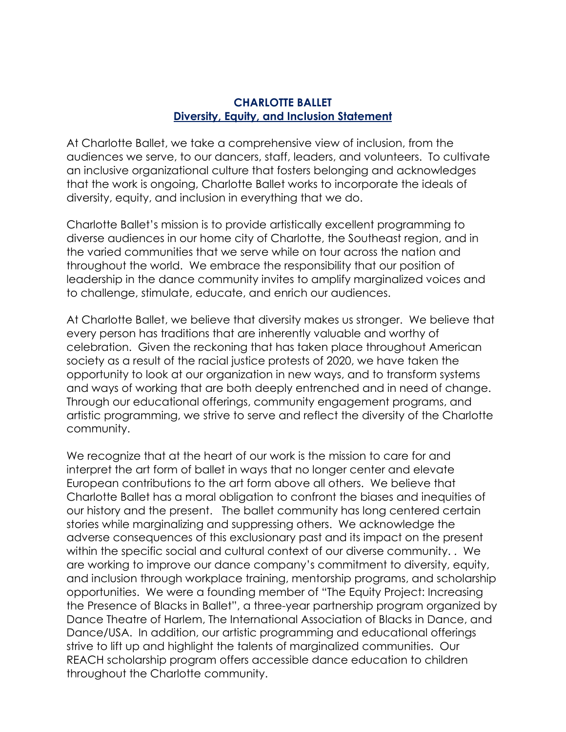## **CHARLOTTE BALLET Diversity, Equity, and Inclusion Statement**

At Charlotte Ballet, we take a comprehensive view of inclusion, from the audiences we serve, to our dancers, staff, leaders, and volunteers. To cultivate an inclusive organizational culture that fosters belonging and acknowledges that the work is ongoing, Charlotte Ballet works to incorporate the ideals of diversity, equity, and inclusion in everything that we do.

Charlotte Ballet's mission is to provide artistically excellent programming to diverse audiences in our home city of Charlotte, the Southeast region, and in the varied communities that we serve while on tour across the nation and throughout the world. We embrace the responsibility that our position of leadership in the dance community invites to amplify marginalized voices and to challenge, stimulate, educate, and enrich our audiences.

At Charlotte Ballet, we believe that diversity makes us stronger. We believe that every person has traditions that are inherently valuable and worthy of celebration. Given the reckoning that has taken place throughout American society as a result of the racial justice protests of 2020, we have taken the opportunity to look at our organization in new ways, and to transform systems and ways of working that are both deeply entrenched and in need of change. Through our educational offerings, community engagement programs, and artistic programming, we strive to serve and reflect the diversity of the Charlotte community.

We recognize that at the heart of our work is the mission to care for and interpret the art form of ballet in ways that no longer center and elevate European contributions to the art form above all others. We believe that Charlotte Ballet has a moral obligation to confront the biases and inequities of our history and the present. The ballet community has long centered certain stories while marginalizing and suppressing others. We acknowledge the adverse consequences of this exclusionary past and its impact on the present within the specific social and cultural context of our diverse community. . We are working to improve our dance company's commitment to diversity, equity, and inclusion through workplace training, mentorship programs, and scholarship opportunities. We were a founding member of "The Equity Project: Increasing the Presence of Blacks in Ballet", a three-year partnership program organized by Dance Theatre of Harlem, The International Association of Blacks in Dance, and Dance/USA. In addition, our artistic programming and educational offerings strive to lift up and highlight the talents of marginalized communities. Our REACH scholarship program offers accessible dance education to children throughout the Charlotte community.